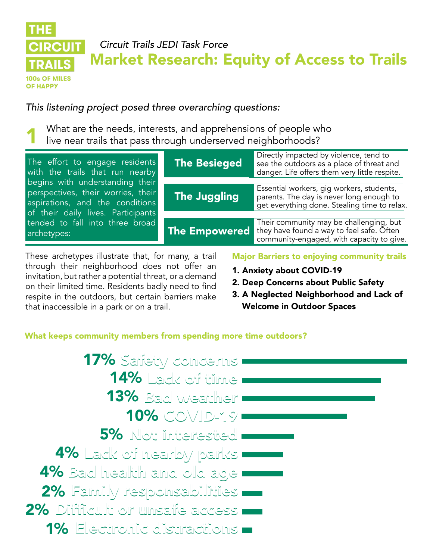#### **THE** *Circuit Trails JEDI Task Force* **CIRCUIT** Market Research: Equity of Access to Trails TRAILS 100s OF MILES ОЕ НАРРУ

*This listening project posed three overarching questions:*

What are the needs, interests, and apprehensions of people who live near trails that pass through underserved neighborhoods?

| The effort to engage residents<br>with the trails that run nearby<br>begins with understanding their<br>perspectives, their worries, their<br>aspirations, and the conditions<br>of their daily lives. Participants<br>tended to fall into three broad<br>archetypes: | <b>The Besieged</b> | Directly impacted by violence, tend to<br>see the outdoors as a place of threat and<br>danger. Life offers them very little respite.            |
|-----------------------------------------------------------------------------------------------------------------------------------------------------------------------------------------------------------------------------------------------------------------------|---------------------|-------------------------------------------------------------------------------------------------------------------------------------------------|
|                                                                                                                                                                                                                                                                       | The Juggling        | Essential workers, gig workers, students,<br>parents. The day is never long enough to<br>get everything done. Stealing time to relax.           |
|                                                                                                                                                                                                                                                                       |                     | Their community may be challenging, but<br>The Empowered they have found a way to feel safe. Often<br>community-engaged, with capacity to give. |

These archetypes illustrate that, for many, a trail through their neighborhood does not offer an invitation, but rather a potential threat, or a demand on their limited time. Residents badly need to find respite in the outdoors, but certain barriers make that inaccessible in a park or on a trail.

# Major Barriers to enjoying community trails

- 1. Anxiety about COVID-19
- 2. Deep Concerns about Public Safety
- 3. A Neglected Neighborhood and Lack of Welcome in Outdoor Spaces

# What keeps community members from spending more time outdoors?

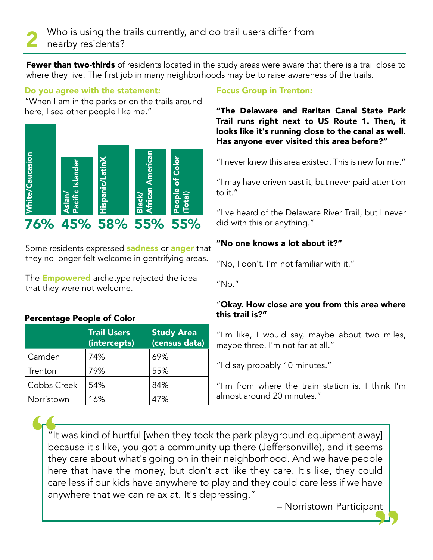**Fewer than two-thirds** of residents located in the study areas were aware that there is a trail close to where they live. The first job in many neighborhoods may be to raise awareness of the trails.

# Do you agree with the statement:

"When I am in the parks or on the trails around here, I see other people like me."



Some residents expressed **sadness** or **anger** that they no longer felt welcome in gentrifying areas.

The **Empowered** archetype rejected the idea that they were not welcome.

# Percentage People of Color

|             | <b>Trail Users</b><br>(intercepts) | <b>Study Area</b><br>(census data) |
|-------------|------------------------------------|------------------------------------|
| Camden      | 74%                                | 69%                                |
| Trenton     | 79%                                | 55%                                |
| Cobbs Creek | 54%                                | 84%                                |
| Norristown  | 16%                                | 47%                                |

## Focus Group in Trenton:

"The Delaware and Raritan Canal State Park Trail runs right next to US Route 1. Then, it looks like it's running close to the canal as well. Has anyone ever visited this area before?"

"I never knew this area existed. This is new for me."

"I may have driven past it, but never paid attention to it."

"I've heard of the Delaware River Trail, but I never did with this or anything."

# "No one knows a lot about it?"

"No, I don't. I'm not familiar with it."

"No."

# "Okay. How close are you from this area where this trail is?"

"I'm like, I would say, maybe about two miles, maybe three. I'm not far at all."

"I'd say probably 10 minutes."

"I'm from where the train station is. I think I'm almost around 20 minutes."

 $\frac{m}{2}$  it was kind of hurtful [when they took the park playground equipment away] because it's like, you got a community up there (Jeffersonville), and it seems they care about what's going on in their neighborhood. And we have people here that have the money, but don't act like they care. It's like, they could care less if our kids have anywhere to play and they could care less if we have anywhere that we can relax at. It's depressing." The the the

– Norristown Participant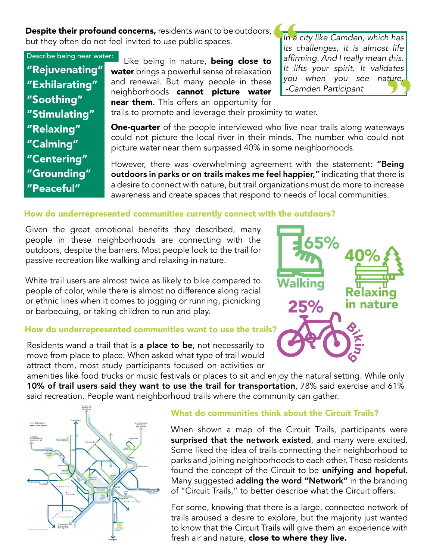Despite their profound concerns, residents *want* to be outdoors, but they often do not feel invited to use public spaces.

Describe being near water: "Rejuvenating" "Exhilarating" "Soothing" "Stimulating" "Relaxing" "Calming" "Centering" "Grounding" "Peaceful"

Like being in nature, being close to water brings a powerful sense of relaxation and renewal. But many people in these neighborhoods cannot picture water near them. This offers an opportunity for

exture.<br>
ways<br>
d not  $\begin{bmatrix}\n\ln a \\
\text{its } c \\
\text{affirn} \\
\text{let } \text{lift} \\
\text{you}\n\end{bmatrix}$ *In a city like Camden, which has its challenges, it is almost life*  affirming. And I really mean this. It lifts your spirit. It validates you when you see nature. -Camden Participant

trails to promote and leverage their proximity to water.

**One-quarter** of the people interviewed who live near trails along waterways could not picture the local river in their minds. The number who could not picture water near them surpassed 40% in some neighborhoods.

However, there was overwhelming agreement with the statement: "Being outdoors in parks or on trails makes me feel happier," indicating that there is a desire to connect with nature, but trail organizations must do more to increase awareness and create spaces that respond to needs of local communities.

#### How do underrepresented communities currently connect with the outdoors?

Given the great emotional benefits they described, many people in these neighborhoods are connecting with the outdoors, despite the barriers. Most people look to the trail for passive recreation like walking and relaxing in nature.

White trail users are almost twice as likely to bike compared to people of color, while there is almost no difference along racial or ethnic lines when it comes to jogging or running, picnicking or barbecuing, or taking children to run and play.

#### How do underrepresented communities want to use the trails?

Residents wand a trail that is a place to be, not necessarily to move from place to place. When asked what type of trail would attract them, most study participants focused on activities or

amenities like food trucks or music festivals or places to sit and enjoy the natural setting. While only 10% of trail users said they want to use the trail for transportation, 78% said exercise and 61% said recreation. People want neighborhood trails where the community can gather.



#### What do communities think about the Circuit Trails?

When shown a map of the Circuit Trails, participants were surprised that the network existed, and many were excited. Some liked the idea of trails connecting their neighborhood to parks and joining neighborhoods to each other. These residents found the concept of the Circuit to be unifying and hopeful. Many suggested adding the word "Network" in the branding of "Circuit Trails," to better describe what the Circuit offers.

For some, knowing that there is a large, connected network of trails aroused a desire to explore, but the majority just wanted to know that the Circuit Trails will give them an experience with fresh air and nature, close to where they live.

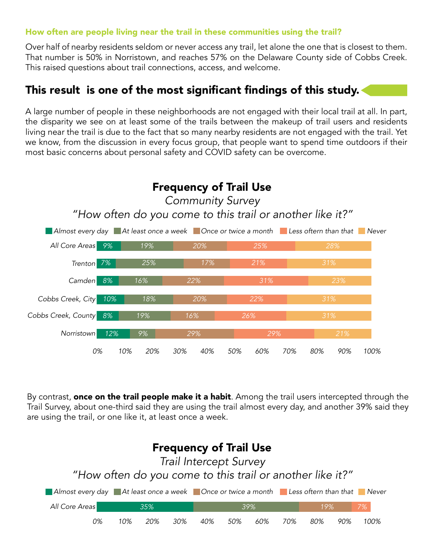## How often are people living near the trail in these communities using the trail?

Over half of nearby residents seldom or never access any trail, let alone the one that is closest to them. That number is 50% in Norristown, and reaches 57% on the Delaware County side of Cobbs Creek. This raised questions about trail connections, access, and welcome.

# This result is one of the most significant findings of this study.

A large number of people in these neighborhoods are not engaged with their local trail at all. In part, the disparity we see on at least some of the trails between the makeup of trail users and residents living near the trail is due to the fact that so many nearby residents are not engaged with the trail. Yet we know, from the discussion in every focus group, that people want to spend time outdoors if their most basic concerns about personal safety and COVID safety can be overcome.



By contrast, **once on the trail people make it a habit**. Among the trail users intercepted through the Trail Survey, about one-third said they are using the trail almost every day, and another 39% said they are using the trail, or one like it, at least once a week.

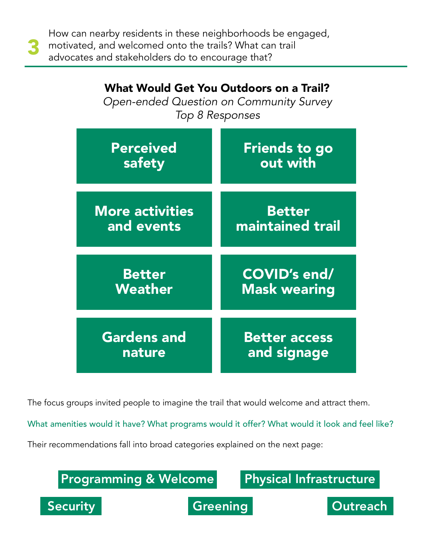How can nearby residents in these neighborhoods be engaged, motivated, and welcomed onto the trails? What can trail advocates and stakeholders do to encourage that?

| Open-ended Question on Community Survey<br>Top 8 Responses |                      |  |
|------------------------------------------------------------|----------------------|--|
| Perceived                                                  | <b>Friends to go</b> |  |
| safety                                                     | out with             |  |
| <b>More activities</b>                                     | <b>Better</b>        |  |
| and events                                                 | maintained trail     |  |
| <b>Better</b>                                              | <b>COVID's end/</b>  |  |
| Weather                                                    | <b>Mask wearing</b>  |  |
| <b>Gardens and</b>                                         | <b>Better access</b> |  |
| nature                                                     | and signage          |  |

What Would Get You Outdoors on a Trail?

The focus groups invited people to imagine the trail that would welcome and attract them.

What amenities would it have? What programs would it offer? What would it look and feel like?

Their recommendations fall into broad categories explained on the next page:

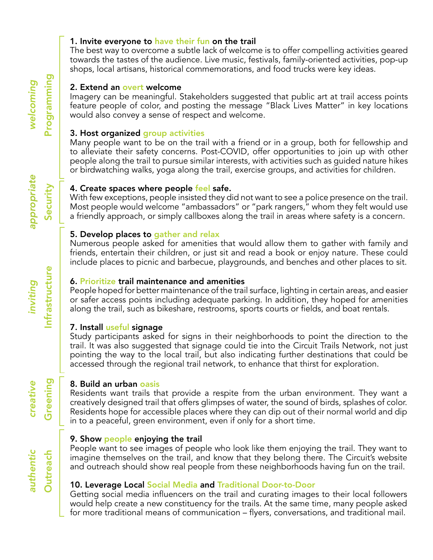#### 1. Invite everyone to have their fun on the trail

The best way to overcome a subtle lack of welcome is to offer compelling activities geared towards the tastes of the audience. Live music, festivals, family-oriented activities, pop-up shops, local artisans, historical commemorations, and food trucks were key ideas.

#### 2. Extend an overt welcome

Imagery can be meaningful. Stakeholders suggested that public art at trail access points feature people of color, and posting the message "Black Lives Matter" in key locations would also convey a sense of respect and welcome.

## 3. Host organized group activities

Many people want to be on the trail with a friend or in a group, both for fellowship and to alleviate their safety concerns. Post-COVID, offer opportunities to join up with other people along the trail to pursue similar interests, with activities such as guided nature hikes or birdwatching walks, yoga along the trail, exercise groups, and activities for children.

#### 4. Create spaces where people feel safe.

With few exceptions, people insisted they did not want to see a police presence on the trail. Most people would welcome "ambassadors" or "park rangers," whom they felt would use a friendly approach, or simply callboxes along the trail in areas where safety is a concern.

#### 5. Develop places to gather and relax

Numerous people asked for amenities that would allow them to gather with family and friends, entertain their children, or just sit and read a book or enjoy nature. These could include places to picnic and barbecue, playgrounds, and benches and other places to sit.

#### 6. Prioritize trail maintenance and amenities

People hoped for better maintenance of the trail surface, lighting in certain areas, and easier or safer access points including adequate parking. In addition, they hoped for amenities along the trail, such as bikeshare, restrooms, sports courts or fields, and boat rentals.

## 7. Install useful signage

Study participants asked for signs in their neighborhoods to point the direction to the trail. It was also suggested that signage could tie into the Circuit Trails Network, not just pointing the way to the local trail, but also indicating further destinations that could be accessed through the regional trail network, to enhance that thirst for exploration.

## 8. Build an urban oasis

Residents want trails that provide a respite from the urban environment. They want a creatively designed trail that offers glimpses of water, the sound of birds, splashes of color. Residents hope for accessible places where they can dip out of their normal world and dip in to a peaceful, green environment, even if only for a short time.

#### 9. Show people enjoying the trail

People want to see images of people who look like them enjoying the trail. They want to imagine themselves on the trail, and know that they belong there. The Circuit's website and outreach should show real people from these neighborhoods having fun on the trail.

## 10. Leverage Local Social Media and Traditional Door-to-Door

Getting social media influencers on the trail and curating images to their local followers would help create a new constituency for the trails. At the same time, many people asked for more traditional means of communication – flyers, conversations, and traditional mail.

Programming Programming*welcoming*  welcoming

appropriate *appropriate* Security

*inviting*

Infrastructure

Infrastructure

*creative*

**Greening**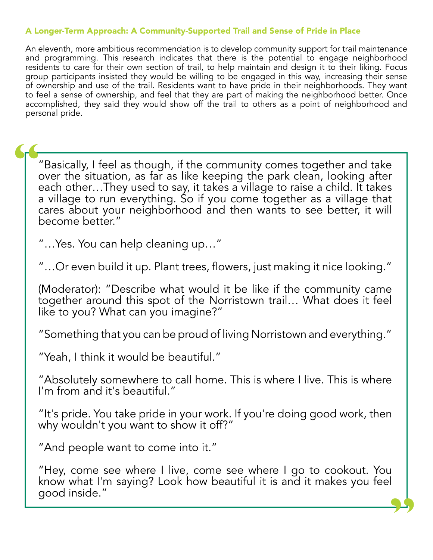# A Longer-Term Approach: A Community-Supported Trail and Sense of Pride in Place

An eleventh, more ambitious recommendation is to develop community support for trail maintenance and programming. This research indicates that there is the potential to engage neighborhood residents to care for their own section of trail, to help maintain and design it to their liking. Focus group participants insisted they would be willing to be engaged in this way, increasing their sense of ownership and use of the trail. Residents want to have pride in their neighborhoods. They want to feel a sense of ownership, and feel that they are part of making the neighborhood better. Once accomplished, they said they would show off the trail to others as a point of neighborhood and personal pride.

"Basically, I feel as though, if the community comes together and take over the situation, as far as like keeping the park clean, looking after each other...They used to say, it takes a village to raise a child. It takes a village to run everything. So if you come together as a village that cares about your neighborhood and then wants to see better, it will become better." "

"…Yes. You can help cleaning up…"

"…Or even build it up. Plant trees, flowers, just making it nice looking."

(Moderator): "Describe what would it be like if the community came together around this spot of the Norristown trail… What does it feel like to you? What can you imagine?"

"Something that you can be proud of living Norristown and everything."

"Yeah, I think it would be beautiful."

"Absolutely somewhere to call home. This is where I live. This is where I'm from and it's beautiful."

"It's pride. You take pride in your work. If you're doing good work, then why wouldn't you want to show it off?"

"And people want to come into it."

"Hey, come see where I live, come see where I go to cookout. You know what I'm saying? Look how beautiful it is and it makes you feel good inside."